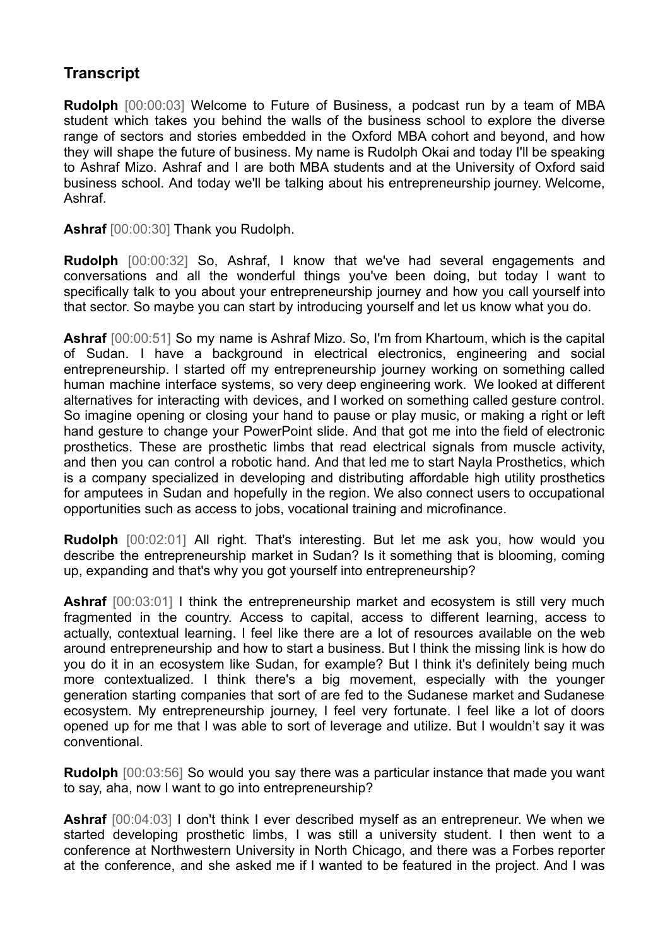## **Transcript**

**Rudolph** [00:00:03] Welcome to Future of Business, a podcast run by a team of MBA student which takes you behind the walls of the business school to explore the diverse range of sectors and stories embedded in the Oxford MBA cohort and beyond, and how they will shape the future of business. My name is Rudolph Okai and today I'll be speaking to Ashraf Mizo. Ashraf and I are both MBA students and at the University of Oxford said business school. And today we'll be talking about his entrepreneurship journey. Welcome, Ashraf.

**Ashraf** [00:00:30] Thank you Rudolph.

**Rudolph** [00:00:32] So, Ashraf, I know that we've had several engagements and conversations and all the wonderful things you've been doing, but today I want to specifically talk to you about your entrepreneurship journey and how you call yourself into that sector. So maybe you can start by introducing yourself and let us know what you do.

**Ashraf** [00:00:51] So my name is Ashraf Mizo. So, I'm from Khartoum, which is the capital of Sudan. I have a background in electrical electronics, engineering and social entrepreneurship. I started off my entrepreneurship journey working on something called human machine interface systems, so very deep engineering work. We looked at different alternatives for interacting with devices, and I worked on something called gesture control. So imagine opening or closing your hand to pause or play music, or making a right or left hand gesture to change your PowerPoint slide. And that got me into the field of electronic prosthetics. These are prosthetic limbs that read electrical signals from muscle activity, and then you can control a robotic hand. And that led me to start Nayla Prosthetics, which is a company specialized in developing and distributing affordable high utility prosthetics for amputees in Sudan and hopefully in the region. We also connect users to occupational opportunities such as access to jobs, vocational training and microfinance.

**Rudolph** [00:02:01] All right. That's interesting. But let me ask you, how would you describe the entrepreneurship market in Sudan? Is it something that is blooming, coming up, expanding and that's why you got yourself into entrepreneurship?

**Ashraf** [00:03:01] I think the entrepreneurship market and ecosystem is still very much fragmented in the country. Access to capital, access to different learning, access to actually, contextual learning. I feel like there are a lot of resources available on the web around entrepreneurship and how to start a business. But I think the missing link is how do you do it in an ecosystem like Sudan, for example? But I think it's definitely being much more contextualized. I think there's a big movement, especially with the younger generation starting companies that sort of are fed to the Sudanese market and Sudanese ecosystem. My entrepreneurship journey, I feel very fortunate. I feel like a lot of doors opened up for me that I was able to sort of leverage and utilize. But I wouldn't say it was conventional.

**Rudolph** [00:03:56] So would you say there was a particular instance that made you want to say, aha, now I want to go into entrepreneurship?

**Ashraf** [00:04:03] I don't think I ever described myself as an entrepreneur. We when we started developing prosthetic limbs, I was still a university student. I then went to a conference at Northwestern University in North Chicago, and there was a Forbes reporter at the conference, and she asked me if I wanted to be featured in the project. And I was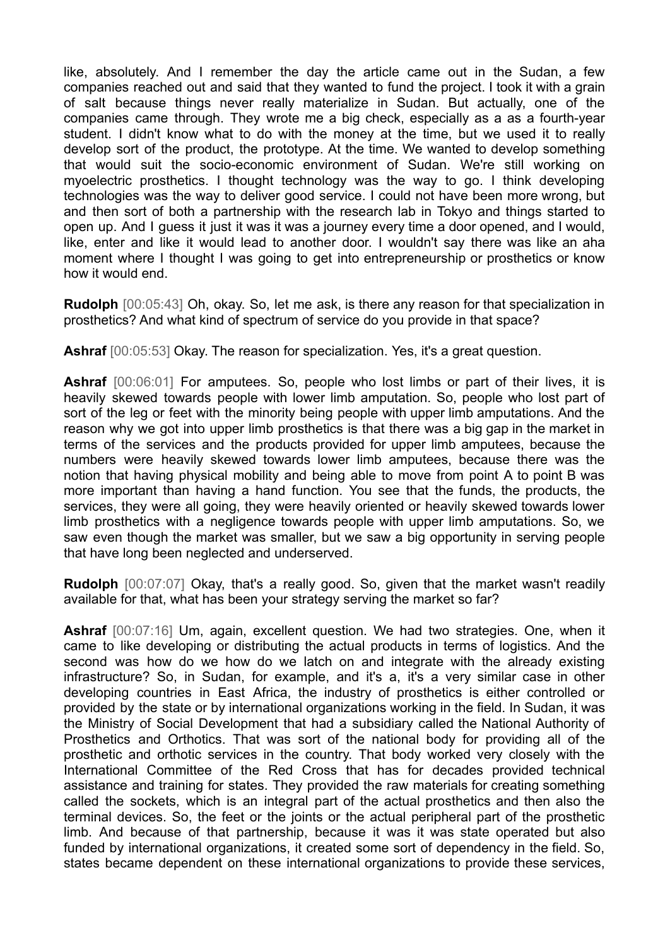like, absolutely. And I remember the day the article came out in the Sudan, a few companies reached out and said that they wanted to fund the project. I took it with a grain of salt because things never really materialize in Sudan. But actually, one of the companies came through. They wrote me a big check, especially as a as a fourth-year student. I didn't know what to do with the money at the time, but we used it to really develop sort of the product, the prototype. At the time. We wanted to develop something that would suit the socio-economic environment of Sudan. We're still working on myoelectric prosthetics. I thought technology was the way to go. I think developing technologies was the way to deliver good service. I could not have been more wrong, but and then sort of both a partnership with the research lab in Tokyo and things started to open up. And I guess it just it was it was a journey every time a door opened, and I would, like, enter and like it would lead to another door. I wouldn't say there was like an aha moment where I thought I was going to get into entrepreneurship or prosthetics or know how it would end.

**Rudolph** [00:05:43] Oh, okay. So, let me ask, is there any reason for that specialization in prosthetics? And what kind of spectrum of service do you provide in that space?

**Ashraf** [00:05:53] Okay. The reason for specialization. Yes, it's a great question.

**Ashraf** [00:06:01] For amputees. So, people who lost limbs or part of their lives, it is heavily skewed towards people with lower limb amputation. So, people who lost part of sort of the leg or feet with the minority being people with upper limb amputations. And the reason why we got into upper limb prosthetics is that there was a big gap in the market in terms of the services and the products provided for upper limb amputees, because the numbers were heavily skewed towards lower limb amputees, because there was the notion that having physical mobility and being able to move from point A to point B was more important than having a hand function. You see that the funds, the products, the services, they were all going, they were heavily oriented or heavily skewed towards lower limb prosthetics with a negligence towards people with upper limb amputations. So, we saw even though the market was smaller, but we saw a big opportunity in serving people that have long been neglected and underserved.

**Rudolph** [00:07:07] Okay, that's a really good. So, given that the market wasn't readily available for that, what has been your strategy serving the market so far?

**Ashraf** [00:07:16] Um, again, excellent question. We had two strategies. One, when it came to like developing or distributing the actual products in terms of logistics. And the second was how do we how do we latch on and integrate with the already existing infrastructure? So, in Sudan, for example, and it's a, it's a very similar case in other developing countries in East Africa, the industry of prosthetics is either controlled or provided by the state or by international organizations working in the field. In Sudan, it was the Ministry of Social Development that had a subsidiary called the National Authority of Prosthetics and Orthotics. That was sort of the national body for providing all of the prosthetic and orthotic services in the country. That body worked very closely with the International Committee of the Red Cross that has for decades provided technical assistance and training for states. They provided the raw materials for creating something called the sockets, which is an integral part of the actual prosthetics and then also the terminal devices. So, the feet or the joints or the actual peripheral part of the prosthetic limb. And because of that partnership, because it was it was state operated but also funded by international organizations, it created some sort of dependency in the field. So, states became dependent on these international organizations to provide these services,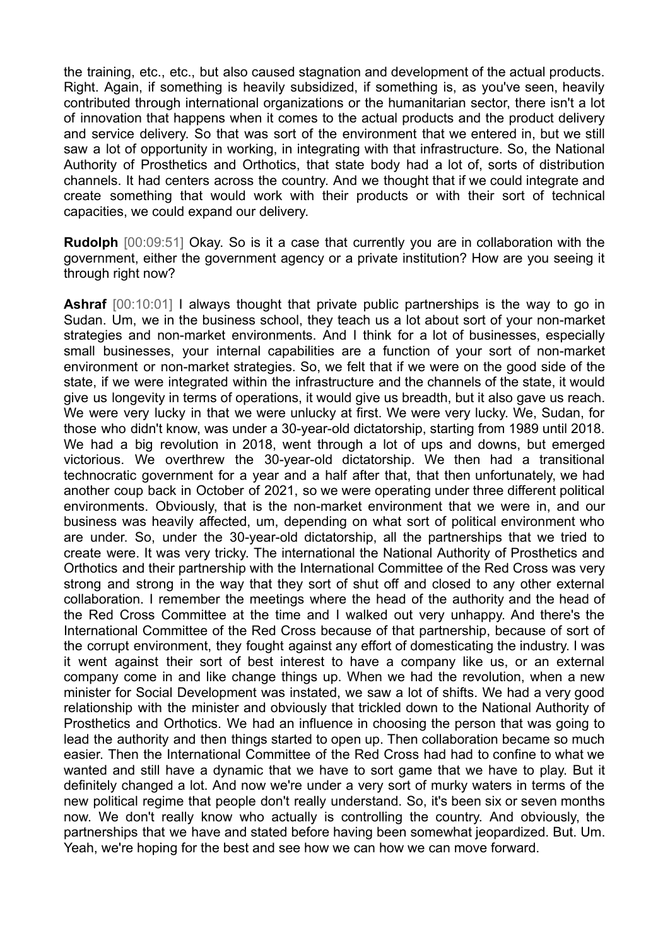the training, etc., etc., but also caused stagnation and development of the actual products. Right. Again, if something is heavily subsidized, if something is, as you've seen, heavily contributed through international organizations or the humanitarian sector, there isn't a lot of innovation that happens when it comes to the actual products and the product delivery and service delivery. So that was sort of the environment that we entered in, but we still saw a lot of opportunity in working, in integrating with that infrastructure. So, the National Authority of Prosthetics and Orthotics, that state body had a lot of, sorts of distribution channels. It had centers across the country. And we thought that if we could integrate and create something that would work with their products or with their sort of technical capacities, we could expand our delivery.

**Rudolph** [00:09:51] Okay. So is it a case that currently you are in collaboration with the government, either the government agency or a private institution? How are you seeing it through right now?

**Ashraf** [00:10:01] I always thought that private public partnerships is the way to go in Sudan. Um, we in the business school, they teach us a lot about sort of your non-market strategies and non-market environments. And I think for a lot of businesses, especially small businesses, your internal capabilities are a function of your sort of non-market environment or non-market strategies. So, we felt that if we were on the good side of the state, if we were integrated within the infrastructure and the channels of the state, it would give us longevity in terms of operations, it would give us breadth, but it also gave us reach. We were very lucky in that we were unlucky at first. We were very lucky. We, Sudan, for those who didn't know, was under a 30-year-old dictatorship, starting from 1989 until 2018. We had a big revolution in 2018, went through a lot of ups and downs, but emerged victorious. We overthrew the 30-year-old dictatorship. We then had a transitional technocratic government for a year and a half after that, that then unfortunately, we had another coup back in October of 2021, so we were operating under three different political environments. Obviously, that is the non-market environment that we were in, and our business was heavily affected, um, depending on what sort of political environment who are under. So, under the 30-year-old dictatorship, all the partnerships that we tried to create were. It was very tricky. The international the National Authority of Prosthetics and Orthotics and their partnership with the International Committee of the Red Cross was very strong and strong in the way that they sort of shut off and closed to any other external collaboration. I remember the meetings where the head of the authority and the head of the Red Cross Committee at the time and I walked out very unhappy. And there's the International Committee of the Red Cross because of that partnership, because of sort of the corrupt environment, they fought against any effort of domesticating the industry. I was it went against their sort of best interest to have a company like us, or an external company come in and like change things up. When we had the revolution, when a new minister for Social Development was instated, we saw a lot of shifts. We had a very good relationship with the minister and obviously that trickled down to the National Authority of Prosthetics and Orthotics. We had an influence in choosing the person that was going to lead the authority and then things started to open up. Then collaboration became so much easier. Then the International Committee of the Red Cross had had to confine to what we wanted and still have a dynamic that we have to sort game that we have to play. But it definitely changed a lot. And now we're under a very sort of murky waters in terms of the new political regime that people don't really understand. So, it's been six or seven months now. We don't really know who actually is controlling the country. And obviously, the partnerships that we have and stated before having been somewhat jeopardized. But. Um. Yeah, we're hoping for the best and see how we can how we can move forward.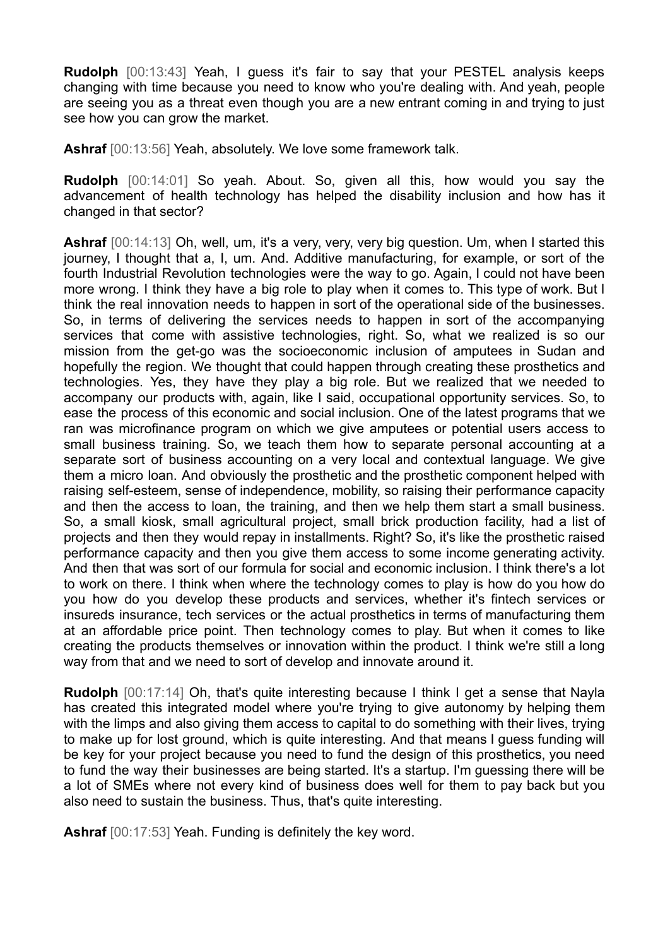**Rudolph** [00:13:43] Yeah, I guess it's fair to say that your PESTEL analysis keeps changing with time because you need to know who you're dealing with. And yeah, people are seeing you as a threat even though you are a new entrant coming in and trying to just see how you can grow the market.

**Ashraf** [00:13:56] Yeah, absolutely. We love some framework talk.

**Rudolph** [00:14:01] So yeah. About. So, given all this, how would you say the advancement of health technology has helped the disability inclusion and how has it changed in that sector?

**Ashraf** [00:14:13] Oh, well, um, it's a very, very, very big question. Um, when I started this journey, I thought that a, I, um. And. Additive manufacturing, for example, or sort of the fourth Industrial Revolution technologies were the way to go. Again, I could not have been more wrong. I think they have a big role to play when it comes to. This type of work. But I think the real innovation needs to happen in sort of the operational side of the businesses. So, in terms of delivering the services needs to happen in sort of the accompanying services that come with assistive technologies, right. So, what we realized is so our mission from the get-go was the socioeconomic inclusion of amputees in Sudan and hopefully the region. We thought that could happen through creating these prosthetics and technologies. Yes, they have they play a big role. But we realized that we needed to accompany our products with, again, like I said, occupational opportunity services. So, to ease the process of this economic and social inclusion. One of the latest programs that we ran was microfinance program on which we give amputees or potential users access to small business training. So, we teach them how to separate personal accounting at a separate sort of business accounting on a very local and contextual language. We give them a micro loan. And obviously the prosthetic and the prosthetic component helped with raising self-esteem, sense of independence, mobility, so raising their performance capacity and then the access to loan, the training, and then we help them start a small business. So, a small kiosk, small agricultural project, small brick production facility, had a list of projects and then they would repay in installments. Right? So, it's like the prosthetic raised performance capacity and then you give them access to some income generating activity. And then that was sort of our formula for social and economic inclusion. I think there's a lot to work on there. I think when where the technology comes to play is how do you how do you how do you develop these products and services, whether it's fintech services or insureds insurance, tech services or the actual prosthetics in terms of manufacturing them at an affordable price point. Then technology comes to play. But when it comes to like creating the products themselves or innovation within the product. I think we're still a long way from that and we need to sort of develop and innovate around it.

**Rudolph** [00:17:14] Oh, that's quite interesting because I think I get a sense that Nayla has created this integrated model where you're trying to give autonomy by helping them with the limps and also giving them access to capital to do something with their lives, trying to make up for lost ground, which is quite interesting. And that means I guess funding will be key for your project because you need to fund the design of this prosthetics, you need to fund the way their businesses are being started. It's a startup. I'm guessing there will be a lot of SMEs where not every kind of business does well for them to pay back but you also need to sustain the business. Thus, that's quite interesting.

**Ashraf** [00:17:53] Yeah. Funding is definitely the key word.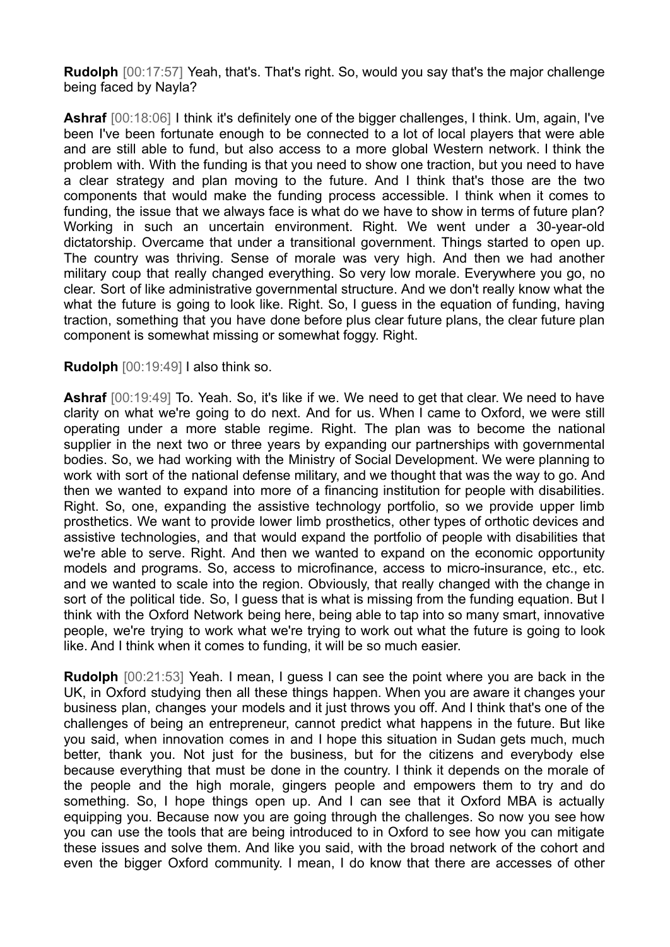**Rudolph** [00:17:57] Yeah, that's. That's right. So, would you say that's the major challenge being faced by Nayla?

**Ashraf** [00:18:06] I think it's definitely one of the bigger challenges, I think. Um, again, I've been I've been fortunate enough to be connected to a lot of local players that were able and are still able to fund, but also access to a more global Western network. I think the problem with. With the funding is that you need to show one traction, but you need to have a clear strategy and plan moving to the future. And I think that's those are the two components that would make the funding process accessible. I think when it comes to funding, the issue that we always face is what do we have to show in terms of future plan? Working in such an uncertain environment. Right. We went under a 30-year-old dictatorship. Overcame that under a transitional government. Things started to open up. The country was thriving. Sense of morale was very high. And then we had another military coup that really changed everything. So very low morale. Everywhere you go, no clear. Sort of like administrative governmental structure. And we don't really know what the what the future is going to look like. Right. So, I guess in the equation of funding, having traction, something that you have done before plus clear future plans, the clear future plan component is somewhat missing or somewhat foggy. Right.

## **Rudolph** [00:19:49] I also think so.

**Ashraf** [00:19:49] To. Yeah. So, it's like if we. We need to get that clear. We need to have clarity on what we're going to do next. And for us. When I came to Oxford, we were still operating under a more stable regime. Right. The plan was to become the national supplier in the next two or three years by expanding our partnerships with governmental bodies. So, we had working with the Ministry of Social Development. We were planning to work with sort of the national defense military, and we thought that was the way to go. And then we wanted to expand into more of a financing institution for people with disabilities. Right. So, one, expanding the assistive technology portfolio, so we provide upper limb prosthetics. We want to provide lower limb prosthetics, other types of orthotic devices and assistive technologies, and that would expand the portfolio of people with disabilities that we're able to serve. Right. And then we wanted to expand on the economic opportunity models and programs. So, access to microfinance, access to micro-insurance, etc., etc. and we wanted to scale into the region. Obviously, that really changed with the change in sort of the political tide. So, I quess that is what is missing from the funding equation. But I think with the Oxford Network being here, being able to tap into so many smart, innovative people, we're trying to work what we're trying to work out what the future is going to look like. And I think when it comes to funding, it will be so much easier.

**Rudolph** [00:21:53] Yeah. I mean, I guess I can see the point where you are back in the UK, in Oxford studying then all these things happen. When you are aware it changes your business plan, changes your models and it just throws you off. And I think that's one of the challenges of being an entrepreneur, cannot predict what happens in the future. But like you said, when innovation comes in and I hope this situation in Sudan gets much, much better, thank you. Not just for the business, but for the citizens and everybody else because everything that must be done in the country. I think it depends on the morale of the people and the high morale, gingers people and empowers them to try and do something. So, I hope things open up. And I can see that it Oxford MBA is actually equipping you. Because now you are going through the challenges. So now you see how you can use the tools that are being introduced to in Oxford to see how you can mitigate these issues and solve them. And like you said, with the broad network of the cohort and even the bigger Oxford community. I mean, I do know that there are accesses of other